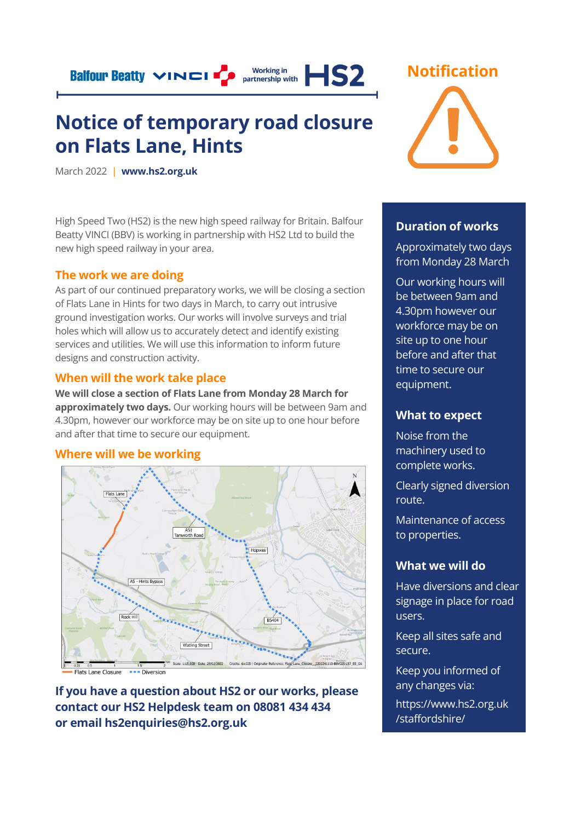**Balfour Beatty VINCI TO** 

# Working in<br>partnership with  $HS2$

# **Notice of temporary road closure on Flats Lane, Hints**

March 2022 | **[www.hs2.org.uk](http://www.hs2.org.uk/)**

High Speed Two (HS2) is the new high speed railway for Britain. Balfour Beatty VINCI (BBV) is working in partnership with HS2 Ltd to build the new high speed railway in your area.

### **The work we are doing**

As part of our continued preparatory works, we will be closing a section of Flats Lane in Hints for two days in March, to carry out intrusive ground investigation works. Our works will involve surveys and trial holes which will allow us to accurately detect and identify existing services and utilities. We will use this information to inform future designs and construction activity.

### **When will the work take place**

**We will close a section of Flats Lane from Monday 28 March for approximately two days.** Our working hours will be between 9am and 4.30pm, however our workforce may be on site up to one hour before and after that time to secure our equipment.

### **Where will we be working**



Flats Lane Closure **BED**Diversion

**If you have a question about HS2 or our works, please contact our HS2 Helpdesk team on 08081 434 434 or email hs2enquiries@hs2.org.uk**



### **Duration of works**

Approximately two days from Monday 28 March

Our working hours will be between 9am and 4.30pm however our workforce may be on site up to one hour before and after that time to secure our equipment.

# **What to expect**

Noise from the machinery used to complete works.

Clearly signed diversion route.

Maintenance of access to properties.

# **What we will do**

Have diversions and clear signage in place for road users.

Keep all sites safe and secure.

Keep you informed of any changes via:

https://www.hs2.org.uk /staffordshire/